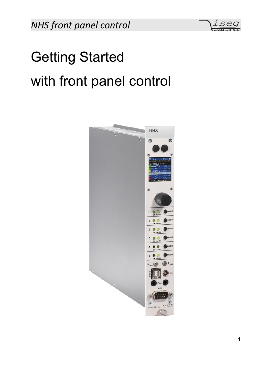

# Getting Started with front panel control

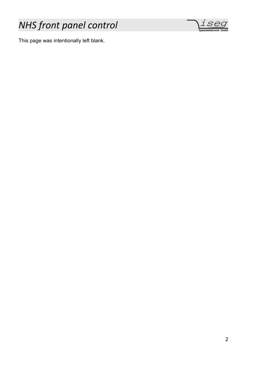# *NHS front panel control*

This page was intentionally left blank.

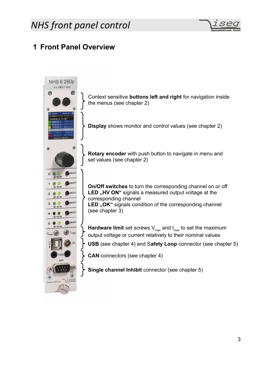

# **1 Front Panel Overview**



Context sensitive **buttons left and right** for navigation inside the menus (see chapter 2)

**Display** shows monitor and control values (see chapter 2)

**Rotary encoder** with push button to navigate in menu and set values (see chapter 2)

**On/Off switches** to turn the corresponding channel on or off LED "HV ON" signals a measured output voltage at the corresponding channel

LED "OK" signals condition of the corresponding channel (see chapter 3)

**Hardware limit** set screws  $V_{\text{max}}$  and  $I_{\text{max}}$  to set the maximum output voltage or current relatively to their nominal values

**USB** (see chapter 4) and S**afety Loop** connector (see chapter 5)

**CAN** connectors (see chapter 4)

**Single channel Inhibit** connector (see chapter 5)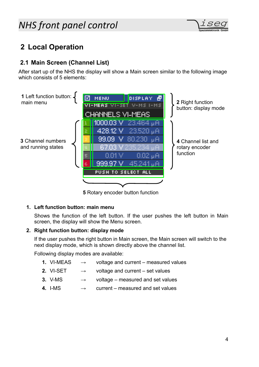# *NHS front panel control*

# **2 Local Operation**

main menu

#### **2.1 Main Screen (Channel List)**

After start up of the NHS the display will show a Main screen similar to the following image which consists of 5 elements:

1000.03 V .464 uA 428 цĤ 80.230 ПЧ uĤ **3** Channel numbers **4** Channel list and and running states rotary encoder function $0.02\;$ µA 999.97 V uÊ T O SEL **5** Rotary encoder button function

#### **1. Left function button: main menu**

Shows the function of the left button. If the user pushes the left button in Main screen, the display will show the Menu screen.

#### **2. Right function button: display mode**

If the user pushes the right button in Main screen, the Main screen will switch to the next display mode, which is shown directly above the channel list.

Following display modes are available:

- **1.** VI-MEAS  $\rightarrow$  voltage and current measured values
- **2.** VI-SET  $\rightarrow$  voltage and current set values
- **3.** V-MS  $\rightarrow$  voltage measured and set values
- **4.** I-MS → current measured and set values



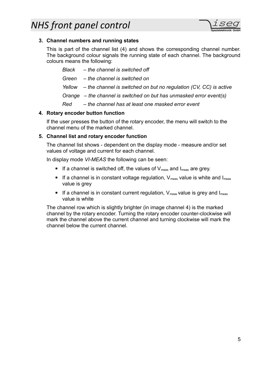

#### **3. Channel numbers and running states**

This is part of the channel list (4) and shows the corresponding channel number. The background colour signals the running state of each channel. The background colours means the following:

*Black – the channel is switched off*

*Green – the channel is switched on*

*Yellow – the channel is switched on but no regulation (CV, CC) is active* 

*Orange – the channel is switched on but has unmasked error event(s)*

*Red – the channel has at least one masked error event*

#### **4. Rotary encoder button function**

If the user presses the button of the rotary encoder, the menu will switch to the channel menu of the marked channel.

#### **5. Channel list and rotary encoder function**

The channel list shows - dependent on the display mode - measure and/or set values of voltage and current for each channel.

In display mode *VI-MEAS* the following can be seen:

- **E** If a channel is switched off, the values of  $V_{meas}$  and  $I_{meas}$  are grey.
- **EXET** If a channel is in constant voltage regulation,  $V_{meas}$  value is white and  $I_{meas}$ value is grey
- **EXECT** If a channel is in constant current regulation,  $V_{meas}$  value is grey and  $I_{meas}$ value is white

The channel row which is slightly brighter (in image channel 4) is the marked channel by the rotary encoder. Turning the rotary encoder counter-clockwise will mark the channel above the current channel and turning clockwise will mark the channel below the current channel.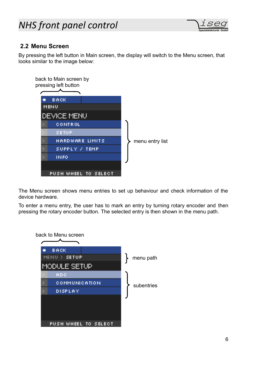

#### **2.2 Menu Screen**

By pressing the left button in Main screen, the display will switch to the Menu screen, that looks similar to the image below:

|    | back to Main screen by<br>pressing left button |                      |                 |
|----|------------------------------------------------|----------------------|-----------------|
| a  | BACK                                           |                      |                 |
|    | MENU                                           |                      |                 |
|    | DEVICE MENU                                    |                      |                 |
| y. | <b>CONTROL</b>                                 |                      |                 |
| X  | SETUP                                          |                      |                 |
| X  | HARDWARE LIMITS                                |                      | menu entry list |
| X  | SUPPLY / TEMP                                  |                      |                 |
| ÿ. | IN FO                                          |                      |                 |
|    |                                                |                      |                 |
|    |                                                | PUSH WHEEL TO SELECT |                 |

The Menu screen shows menu entries to set up behaviour and check information of the device hardware.

To enter a menu entry, the user has to mark an entry by turning rotary encoder and then pressing the rotary encoder button. The selected entry is then shown in the menu path.

back to Menu screen  $\bullet$ **BACK** } MENU > SETUP menu path MODULE SETUP ADC. COMMUNICATION subentriesDISPLAY PUSH WHEEL TO SELECT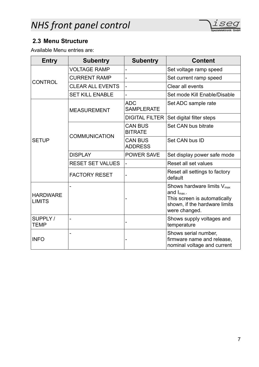

#### **2.3 Menu Structure**

Available Menu entries are:

| <b>Entry</b>                     | <b>Subentry</b>         | <b>Subentry</b>                  | <b>Content</b>                                                                                                                                     |  |  |
|----------------------------------|-------------------------|----------------------------------|----------------------------------------------------------------------------------------------------------------------------------------------------|--|--|
|                                  | <b>VOLTAGE RAMP</b>     |                                  | Set voltage ramp speed                                                                                                                             |  |  |
| <b>CONTROL</b>                   | <b>CURRENT RAMP</b>     |                                  | Set current ramp speed                                                                                                                             |  |  |
|                                  | <b>CLEAR ALL EVENTS</b> | -                                | Clear all events                                                                                                                                   |  |  |
|                                  | <b>SET KILL ENABLE</b>  |                                  | Set mode Kill Enable/Disable                                                                                                                       |  |  |
|                                  | <b>MEASUREMENT</b>      | <b>ADC</b><br><b>SAMPLERATE</b>  | Set ADC sample rate                                                                                                                                |  |  |
|                                  |                         | <b>DIGITAL FILTER</b>            | Set digital filter steps                                                                                                                           |  |  |
|                                  | <b>COMMUNICATION</b>    | <b>CAN BUS</b><br><b>BITRATE</b> | Set CAN bus bitrate                                                                                                                                |  |  |
| <b>SETUP</b>                     |                         | <b>CAN BUS</b><br><b>ADDRESS</b> | Set CAN bus ID                                                                                                                                     |  |  |
|                                  | <b>DISPLAY</b>          | <b>POWER SAVE</b>                | Set display power safe mode                                                                                                                        |  |  |
|                                  | <b>RESET SET VALUES</b> |                                  | Reset all set values                                                                                                                               |  |  |
|                                  | <b>FACTORY RESET</b>    |                                  | Reset all settings to factory<br>default                                                                                                           |  |  |
| <b>HARDWARE</b><br><b>LIMITS</b> |                         |                                  | Shows hardware limits $V_{\text{max}}$<br>and $I_{\text{max}}$ .<br>This screen is automatically<br>shown, if the hardware limits<br>were changed. |  |  |
| SUPPLY/<br><b>TEMP</b>           |                         |                                  | Shows supply voltages and<br>temperature                                                                                                           |  |  |
| <b>INFO</b>                      |                         |                                  | Shows serial number,<br>firmware name and release,<br>nominal voltage and current                                                                  |  |  |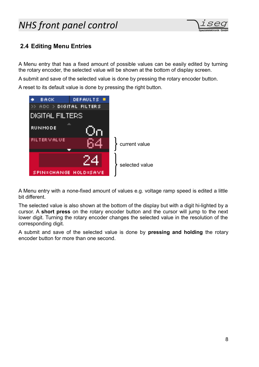

#### **2.4 Editing Menu Entries**

A Menu entry that has a fixed amount of possible values can be easily edited by turning the rotary encoder, the selected value will be shown at the bottom of display screen.

A submit and save of the selected value is done by pressing the rotary encoder button.

A reset to its default value is done by pressing the right button.



A Menu entry with a none-fixed amount of values e.g. voltage ramp speed is edited a little bit different.

The selected value is also shown at the bottom of the display but with a digit hi-lighted by a cursor. A **short press** on the rotary encoder button and the cursor will jump to the next lower digit. Turning the rotary encoder changes the selected value in the resolution of the corresponding digit.

A submit and save of the selected value is done by **pressing and holding** the rotary encoder button for more than one second.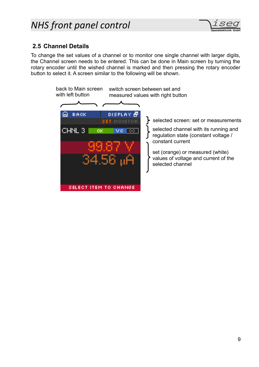

#### **2.5 Channel Details**

To change the set values of a channel or to monitor one single channel with larger digits, the Channel screen needs to be entered. This can be done in Main screen by turning the rotary encoder until the wished channel is marked and then pressing the rotary encoder button to select it. A screen similar to the following will be shown.

| back to Main screen<br>switch screen between set and<br>with left button<br>measured values with right button           |                                                                                                                                                                                                                                           |  |  |  |  |  |
|-------------------------------------------------------------------------------------------------------------------------|-------------------------------------------------------------------------------------------------------------------------------------------------------------------------------------------------------------------------------------------|--|--|--|--|--|
| DISPLAY <i>큰</i><br><b>BACK</b><br>ы<br>SET<br><u>ICHNL 3,</u><br>MC.<br>oк<br>CC.<br>- T O I<br>CHANGE<br>EM<br>SELECT | selected screen: set or measurements<br>selected channel with its running and<br>regulation state (constant voltage /<br>constant current<br>set (orange) or measured (white)<br>values of voltage and current of the<br>selected channel |  |  |  |  |  |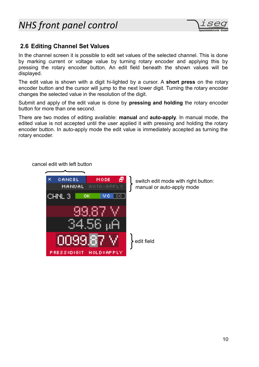

#### **2.6 Editing Channel Set Values**

In the channel screen it is possible to edit set values of the selected channel. This is done by marking current or voltage value by turning rotary encoder and applying this by pressing the rotary encoder button. An edit field beneath the shown values will be displayed.

The edit value is shown with a digit hi-lighted by a cursor. A **short press** on the rotary encoder button and the cursor will jump to the next lower digit. Turning the rotary encoder changes the selected value in the resolution of the digit.

Submit and apply of the edit value is done by **pressing and holding** the rotary encoder button for more than one second.

There are two modes of editing available: **manual** and **auto-apply**. In manual mode, the edited value is not accepted until the user applied it with pressing and holding the rotary encoder button. In auto-apply mode the edit value is immediately accepted as turning the rotary encoder.

cancel edit with left button

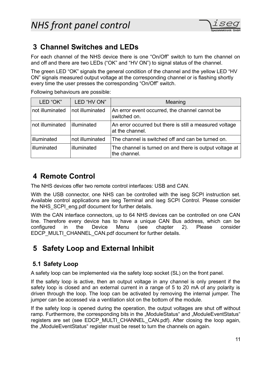

## **3 Channel Switches and LEDs**

For each channel of the NHS device there is one "On/Off" switch to turn the channel on and off and there are two LEDs ("OK" and "HV ON") to signal status of the channel.

The green LED "OK" signals the general condition of the channel and the yellow LED "HV ON" signals measured output voltage at the corresponding channel or is flashing shortly every time the user presses the corresponding "On/Off" switch.

Following behaviours are possible:

| LED "OK"        | LED "HV ON"     | Meaning                                                                    |
|-----------------|-----------------|----------------------------------------------------------------------------|
| not illuminated | not illuminated | An error event occurred, the channel cannot be<br>switched on.             |
| not illuminated | lilluminated    | An error occurred but there is still a measured voltage<br>at the channel. |
| lilluminated    | not illuminated | The channel is switched off and can be turned on.                          |
| lilluminated    | illuminated     | The channel is turned on and there is output voltage at<br>the channel.    |

## **4 Remote Control**

The NHS devices offer two remote control interfaces: USB and CAN.

With the USB connector, one NHS can be controlled with the iseg SCPI instruction set. Available control applications are iseg Terminal and iseg SCPI Control. Please consider the NHS SCPI eng.pdf document for further details.

With the CAN interface connectors, up to 64 NHS devices can be controlled on one CAN line. Therefore every device has to have a unique CAN Bus address, which can be configured in the Device Menu (see chapter 2). Please consider EDCP\_MULTI\_CHANNEL\_CAN.pdf document for further details.

## **5 Safety Loop and External Inhibit**

#### **5.1 Safety Loop**

A safety loop can be implemented via the safety loop socket (SL) on the front panel.

If the safety loop is active, then an output voltage in any channel is only present if the safety loop is closed and an external current in a range of 5 to 20 mA of any polarity is driven through the loop. The loop can be activated by removing the internal jumper. The jumper can be accessed via a ventilation slot on the bottom of the module.

If the safety loop is opened during the operation, the output voltages are shut off without ramp. Furthermore, the corresponding bits in the "ModuleStatus" and "ModuleEventStatus" registers are set (see EDCP\_MULTI\_CHANNEL\_CAN.pdf). After closing the loop again, the "ModuleEventStatus" register must be reset to turn the channels on again.